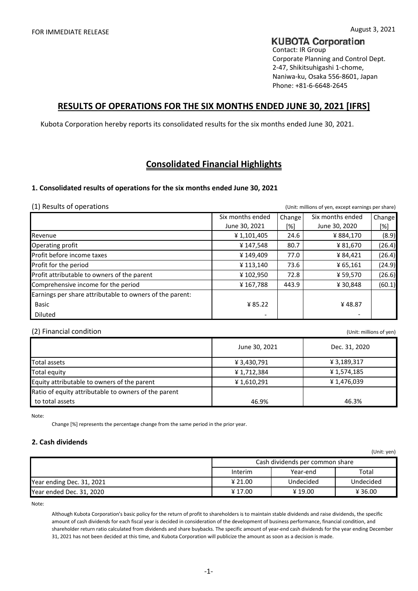# **KUBOTA Corporation**

Contact: IR Group Corporate Planning and Control Dept. 2-47, Shikitsuhigashi 1-chome, Naniwa-ku, Osaka 556-8601, Japan Phone: +81-6-6648-2645

## **RESULTS OF OPERATIONS FOR THE SIX MONTHS ENDED JUNE 30, 2021 [IFRS]**

Kubota Corporation hereby reports its consolidated results for the six months ended June 30, 2021.

# **Consolidated Financial Highlights**

## **1. Consolidated results of operations for the six months ended June 30, 2021**

(1) Results of operations (Unit: millions of yen, except earnings per share)

|                                                          | Six months ended | Change | Six months ended | Change |
|----------------------------------------------------------|------------------|--------|------------------|--------|
|                                                          | June 30, 2021    | [%]    | June 30, 2020    | [%]    |
| Revenue                                                  | ¥1,101,405       | 24.6   | ¥884,170         | (8.9)  |
| Operating profit                                         | ¥147,548         | 80.7   | ¥ 81,670         | (26.4) |
| Profit before income taxes                               | ¥149,409         | 77.0   | ¥84,421          | (26.4) |
| Profit for the period                                    | ¥113,140         | 73.6   | ¥ 65,161         | (24.9) |
| Profit attributable to owners of the parent              | ¥102,950         | 72.8   | ¥ 59,570         | (26.6) |
| Comprehensive income for the period                      | ¥167,788         | 443.9  | ¥30,848          | (60.1) |
| Earnings per share attributable to owners of the parent: |                  |        |                  |        |
| Basic                                                    | ¥ 85.22          |        | ¥48.87           |        |
| <b>Diluted</b>                                           |                  |        |                  |        |

### (2) Financial condition (Unit: millions of yen)

Total assets  $\angle$  3,430,791 Total equity **All 2018** Security **All 2018** Security **All 2018** Security **All 2018** Security **All 2018** Security **All 2018** Security **All 2018** Security **All 2018** Security **All 2018** Security **All 2018** Security **All 2018** Equity attributable to owners of the parent  $\angle$  4 1,610,291 Ratio of equity attributable to owners of the parent 46.9% to total assets June 30, 2021 <br>
Dec. 31, 2020 ¥ 3,189,317 ¥ 1,574,185 ¥ 1,476,039 46.3%

Note:

Change [%] represents the percentage change from the same period in the prior year.

## **2. Cash dividends**

| (Unit: yen)               |                                 |           |           |  |  |  |  |  |  |  |  |
|---------------------------|---------------------------------|-----------|-----------|--|--|--|--|--|--|--|--|
|                           | Cash dividends per common share |           |           |  |  |  |  |  |  |  |  |
|                           | Interim                         | Year-end  | Total     |  |  |  |  |  |  |  |  |
| Year ending Dec. 31, 2021 | ¥ 21.00                         | Undecided | Undecided |  |  |  |  |  |  |  |  |
| Year ended Dec. 31, 2020  | ¥17.00                          | ¥19.00    | ¥36.00    |  |  |  |  |  |  |  |  |

Note:

Although Kubota Corporation's basic policy for the return of profit to shareholders is to maintain stable dividends and raise dividends, the specific amount of cash dividends for each fiscal year is decided in consideration of the development of business performance, financial condition, and shareholder return ratio calculated from dividends and share buybacks. The specific amount of year-end cash dividends for the year ending December 31, 2021 has not been decided at this time, and Kubota Corporation will publicize the amount as soon as a decision is made.

 $U(x)$  is given by  $\mathcal{V}$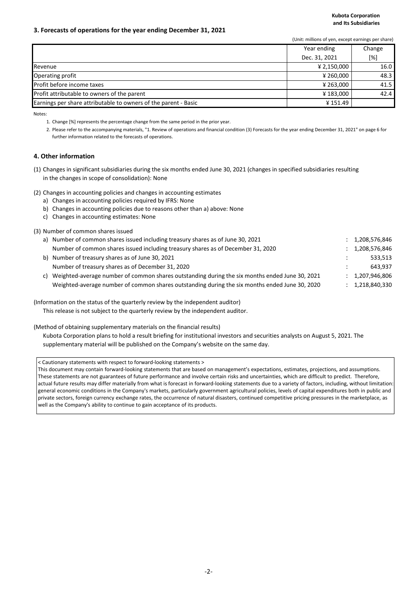### **3. Forecasts of operations for the year ending December 31, 2021**

(Unit: millions of yen, except earnings per share)

|                                                                 | Year ending   | Change |
|-----------------------------------------------------------------|---------------|--------|
|                                                                 | Dec. 31, 2021 | [%]    |
| Revenue                                                         | ¥ 2,150,000   | 16.0   |
| Operating profit                                                | ¥ 260,000     | 48.3   |
| Profit before income taxes                                      | ¥ 263.000     | 41.5   |
| Profit attributable to owners of the parent                     | ¥183,000      | 42.4   |
| Earnings per share attributable to owners of the parent - Basic | ¥151.49       |        |

Notes:

1. Change [%] represents the percentage change from the same period in the prior year.

2. Please refer to the accompanying materials, "1. Review of operations and financial condition (3) Forecasts for the year ending December 31, 2021" on page 6 for further information related to the forecasts of operations.

### **4. Other information**

- (1) Changes in significant subsidiaries during the six months ended June 30, 2021 (changes in specified subsidiaries resulting in the changes in scope of consolidation): None
- (2) Changes in accounting policies and changes in accounting estimates
	- a) Changes in accounting policies required by IFRS: None
	- b) Changes in accounting policies due to reasons other than a) above: None
	- c) Changes in accounting estimates: None

### (3) Number of common shares issued

|    | a) Number of common shares issued including treasury shares as of June 30, 2021                | 1,208,576,846 |
|----|------------------------------------------------------------------------------------------------|---------------|
|    | Number of common shares issued including treasury shares as of December 31, 2020               | 1,208,576,846 |
|    | b) Number of treasury shares as of June 30, 2021                                               | 533.513       |
|    | Number of treasury shares as of December 31, 2020                                              | 643.937       |
| c) | Weighted-average number of common shares outstanding during the six months ended June 30, 2021 | 1,207,946,806 |
|    | Weighted-average number of common shares outstanding during the six months ended June 30, 2020 | 1,218,840,330 |

### (Information on the status of the quarterly review by the independent auditor)

This release is not subject to the quarterly review by the independent auditor.

(Method of obtaining supplementary materials on the financial results)

Kubota Corporation plans to hold a result briefing for institutional investors and securities analysts on August 5, 2021. The supplementary material will be published on the Company's website on the same day.

< Cautionary statements with respect to forward-looking statements >

This document may contain forward-looking statements that are based on management's expectations, estimates, projections, and assumptions. These statements are not guarantees of future performance and involve certain risks and uncertainties, which are difficult to predict. Therefore, actual future results may differ materially from what is forecast in forward-looking statements due to a variety of factors, including, without limitation: general economic conditions in the Company's markets, particularly government agricultural policies, levels of capital expenditures both in public and private sectors, foreign currency exchange rates, the occurrence of natural disasters, continued competitive pricing pressures in the marketplace, as well as the Company's ability to continue to gain acceptance of its products.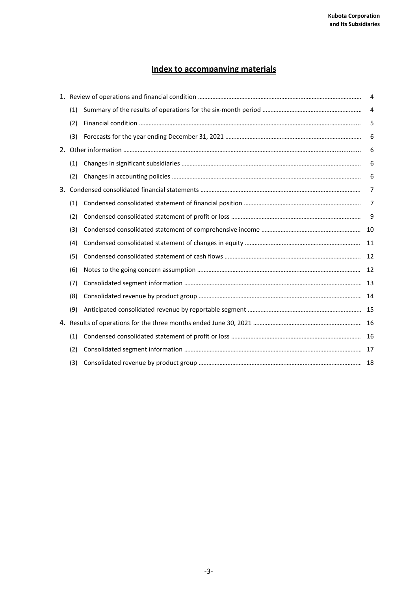# **Index to accompanying materials**

|     | 4   |
|-----|-----|
| (1) | 4   |
| (2) | 5   |
| (3) | 6   |
|     | 6   |
| (1) | 6   |
| (2) | 6   |
|     | 7   |
| (1) | 7   |
| (2) | 9   |
| (3) | 10  |
| (4) | 11  |
| (5) | 12  |
| (6) | 12  |
| (7) |     |
| (8) | -14 |
| (9) |     |
|     | 16  |
| (1) | 16  |
| (2) |     |
| (3) |     |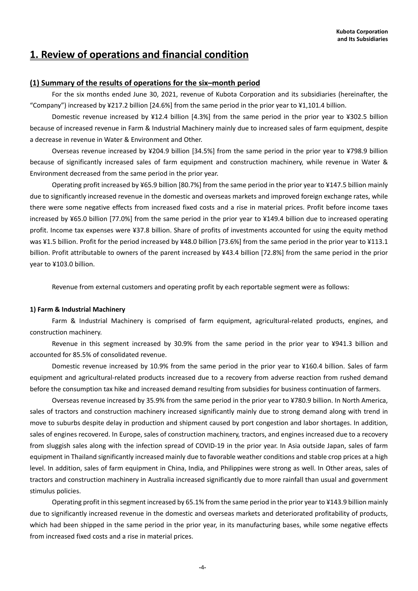# **1. Review of operations and financial condition**

## **(1) Summary of the results of operations for the six–month period**

For the six months ended June 30, 2021, revenue of Kubota Corporation and its subsidiaries (hereinafter, the "Company") increased by ¥217.2 billion [24.6%] from the same period in the prior year to ¥1,101.4 billion.

Domestic revenue increased by ¥12.4 billion [4.3%] from the same period in the prior year to ¥302.5 billion because of increased revenue in Farm & Industrial Machinery mainly due to increased sales of farm equipment, despite a decrease in revenue in Water & Environment and Other.

Overseas revenue increased by ¥204.9 billion [34.5%] from the same period in the prior year to ¥798.9 billion because of significantly increased sales of farm equipment and construction machinery, while revenue in Water & Environment decreased from the same period in the prior year.

Operating profit increased by ¥65.9 billion [80.7%] from the same period in the prior year to ¥147.5 billion mainly due to significantly increased revenue in the domestic and overseas markets and improved foreign exchange rates, while there were some negative effects from increased fixed costs and a rise in material prices. Profit before income taxes increased by ¥65.0 billion [77.0%] from the same period in the prior year to ¥149.4 billion due to increased operating profit. Income tax expenses were ¥37.8 billion. Share of profits of investments accounted for using the equity method was ¥1.5 billion. Profit for the period increased by ¥48.0 billion [73.6%] from the same period in the prior year to ¥113.1 billion. Profit attributable to owners of the parent increased by ¥43.4 billion [72.8%] from the same period in the prior year to ¥103.0 billion.

Revenue from external customers and operating profit by each reportable segment were as follows:

### **1) Farm & Industrial Machinery**

Farm & Industrial Machinery is comprised of farm equipment, agricultural-related products, engines, and construction machinery.

Revenue in this segment increased by 30.9% from the same period in the prior year to ¥941.3 billion and accounted for 85.5% of consolidated revenue.

Domestic revenue increased by 10.9% from the same period in the prior year to ¥160.4 billion. Sales of farm equipment and agricultural-related products increased due to a recovery from adverse reaction from rushed demand before the consumption tax hike and increased demand resulting from subsidies for business continuation of farmers.

Overseas revenue increased by 35.9% from the same period in the prior year to ¥780.9 billion. In North America, sales of tractors and construction machinery increased significantly mainly due to strong demand along with trend in move to suburbs despite delay in production and shipment caused by port congestion and labor shortages. In addition, sales of engines recovered. In Europe, sales of construction machinery, tractors, and engines increased due to a recovery from sluggish sales along with the infection spread of COVID-19 in the prior year. In Asia outside Japan, sales of farm equipment in Thailand significantly increased mainly due to favorable weather conditions and stable crop prices at a high level. In addition, sales of farm equipment in China, India, and Philippines were strong as well. In Other areas, sales of tractors and construction machinery in Australia increased significantly due to more rainfall than usual and government stimulus policies.

Operating profit in this segment increased by 65.1% from the same period in the prior year to ¥143.9 billion mainly due to significantly increased revenue in the domestic and overseas markets and deteriorated profitability of products, which had been shipped in the same period in the prior year, in its manufacturing bases, while some negative effects from increased fixed costs and a rise in material prices.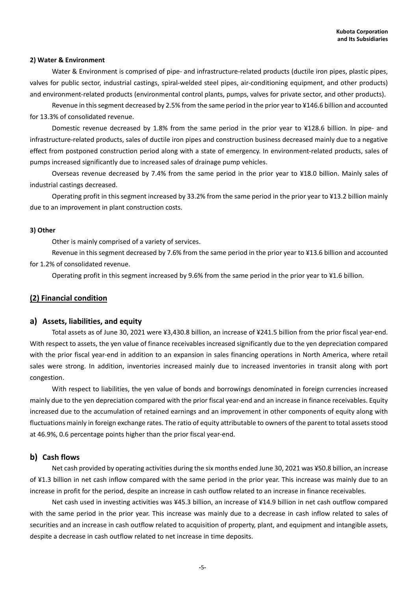### **2) Water & Environment**

Water & Environment is comprised of pipe- and infrastructure-related products (ductile iron pipes, plastic pipes, valves for public sector, industrial castings, spiral-welded steel pipes, air-conditioning equipment, and other products) and environment-related products (environmental control plants, pumps, valves for private sector, and other products).

Revenue in this segment decreased by 2.5% from the same period in the prior year to ¥146.6 billion and accounted for 13.3% of consolidated revenue.

Domestic revenue decreased by 1.8% from the same period in the prior year to ¥128.6 billion. In pipe- and infrastructure-related products, sales of ductile iron pipes and construction business decreased mainly due to a negative effect from postponed construction period along with a state of emergency. In environment-related products, sales of pumps increased significantly due to increased sales of drainage pump vehicles.

Overseas revenue decreased by 7.4% from the same period in the prior year to ¥18.0 billion. Mainly sales of industrial castings decreased.

Operating profit in this segment increased by 33.2% from the same period in the prior year to ¥13.2 billion mainly due to an improvement in plant construction costs.

### **3) Other**

Other is mainly comprised of a variety of services.

Revenue in this segment decreased by 7.6% from the same period in the prior year to ¥13.6 billion and accounted for 1.2% of consolidated revenue.

Operating profit in this segment increased by 9.6% from the same period in the prior year to ¥1.6 billion.

### **(2) Financial condition**

### **a) Assets, liabilities, and equity**

Total assets as of June 30, 2021 were ¥3,430.8 billion, an increase of ¥241.5 billion from the prior fiscal year-end. With respect to assets, the yen value of finance receivables increased significantly due to the yen depreciation compared with the prior fiscal year-end in addition to an expansion in sales financing operations in North America, where retail sales were strong. In addition, inventories increased mainly due to increased inventories in transit along with port congestion.

With respect to liabilities, the yen value of bonds and borrowings denominated in foreign currencies increased mainly due to the yen depreciation compared with the prior fiscal year-end and an increase in finance receivables. Equity increased due to the accumulation of retained earnings and an improvement in other components of equity along with fluctuations mainly in foreign exchange rates. The ratio of equity attributable to owners of the parent to total assets stood at 46.9%, 0.6 percentage points higher than the prior fiscal year-end.

### **b) Cash flows**

Net cash provided by operating activities during the six months ended June 30, 2021 was ¥50.8 billion, an increase of ¥1.3 billion in net cash inflow compared with the same period in the prior year. This increase was mainly due to an increase in profit for the period, despite an increase in cash outflow related to an increase in finance receivables.

Net cash used in investing activities was ¥45.3 billion, an increase of ¥14.9 billion in net cash outflow compared with the same period in the prior year. This increase was mainly due to a decrease in cash inflow related to sales of securities and an increase in cash outflow related to acquisition of property, plant, and equipment and intangible assets, despite a decrease in cash outflow related to net increase in time deposits.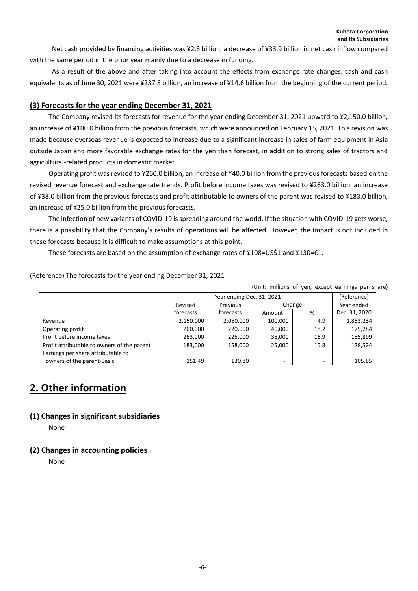Net cash provided by financing activities was ¥2.3 billion, a decrease of ¥33.9 billion in net cash inflow compared with the same period in the prior year mainly due to a decrease in funding.

As a result of the above and after taking into account the effects from exchange rate changes, cash and cash equivalents as of June 30, 2021 were ¥237.5 billion, an increase of ¥14.6 billion from the beginning of the current period.

## **(3) Forecasts for the year ending December 31, 2021**

The Company revised its forecasts for revenue for the year ending December 31, 2021 upward to ¥2,150.0 billion, an increase of ¥100.0 billion from the previous forecasts, which were announced on February 15, 2021. This revision was made because overseas revenue is expected to increase due to a significant increase in sales of farm equipment in Asia outside Japan and more favorable exchange rates for the yen than forecast, in addition to strong sales of tractors and agricultural-related products in domestic market.

Operating profit was revised to ¥260.0 billion, an increase of ¥40.0 billion from the previous forecasts based on the revised revenue forecast and exchange rate trends. Profit before income taxes was revised to ¥263.0 billion, an increase of ¥38.0 billion from the previous forecasts and profit attributable to owners of the parent was revised to ¥183.0 billion, an increase of ¥25.0 billion from the previous forecasts.

The infection of new variants of COVID-19 is spreading around the world. If the situation with COVID-19 gets worse, there is a possibility that the Company's results of operations will be affected. However, the impact is not included in these forecasts because it is difficult to make assumptions at this point.

These forecasts are based on the assumption of exchange rates of ¥108=US\$1 and ¥130=€1.

|                                             |           |                           |         |        | (Unit: millions of yen, except earnings per share) |
|---------------------------------------------|-----------|---------------------------|---------|--------|----------------------------------------------------|
|                                             |           | Year ending Dec. 31, 2021 |         |        | (Reference)                                        |
|                                             | Revised   | Previous                  |         | Change | Year ended                                         |
|                                             | forecasts | forecasts                 | Amount  | %      | Dec. 31, 2020                                      |
| Revenue                                     | 2,150,000 | 2,050,000                 | 100,000 | 4.9    | 1,853,234                                          |
| Operating profit                            | 260,000   | 220,000                   | 40,000  | 18.2   | 175,284                                            |
| Profit before income taxes                  | 263,000   | 225,000                   | 38,000  | 16.9   | 185,899                                            |
| Profit attributable to owners of the parent | 183,000   | 158,000                   | 25,000  | 15.8   | 128,524                                            |
| Earnings per share attributable to          |           |                           |         |        |                                                    |
| owners of the parent-Basic                  | 151.49    | 130.80                    | ٠       |        | 105.85                                             |

(Reference) The forecasts for the year ending December 31, 2021

# **2. Other information**

## **(1) Changes in significant subsidiaries**

None

## **(2) Changes in accounting policies**

None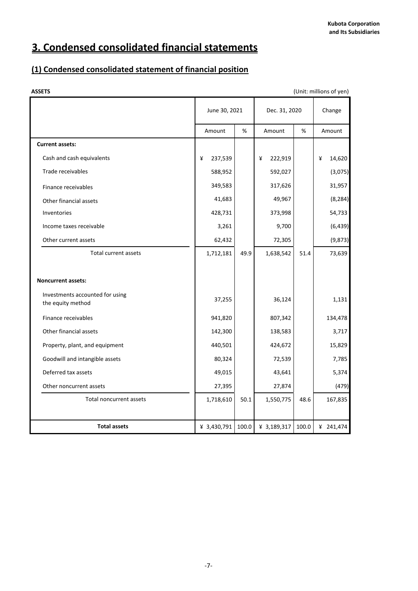# **3. Condensed consolidated financial statements**

# **(1) Condensed consolidated statement of financial position**

| <b>ASSETS</b>                                        |               |       |               |       | (Unit: millions of yen) |
|------------------------------------------------------|---------------|-------|---------------|-------|-------------------------|
|                                                      | June 30, 2021 |       | Dec. 31, 2020 |       | Change                  |
|                                                      | Amount        | %     | Amount        | %     | Amount                  |
| <b>Current assets:</b>                               |               |       |               |       |                         |
| Cash and cash equivalents                            | 237,539<br>¥  |       | ¥<br>222,919  |       | 14,620<br>¥             |
| Trade receivables                                    | 588,952       |       | 592,027       |       | (3,075)                 |
| Finance receivables                                  | 349,583       |       | 317,626       |       | 31,957                  |
| Other financial assets                               | 41,683        |       | 49,967        |       | (8, 284)                |
| Inventories                                          | 428,731       |       | 373,998       |       | 54,733                  |
| Income taxes receivable                              | 3,261         |       | 9,700         |       | (6, 439)                |
| Other current assets                                 | 62,432        |       | 72,305        |       | (9, 873)                |
| Total current assets                                 | 1,712,181     | 49.9  | 1,638,542     | 51.4  | 73,639                  |
|                                                      |               |       |               |       |                         |
| <b>Noncurrent assets:</b>                            |               |       |               |       |                         |
| Investments accounted for using<br>the equity method | 37,255        |       | 36,124        |       | 1,131                   |
| Finance receivables                                  | 941,820       |       | 807,342       |       | 134,478                 |
| Other financial assets                               | 142,300       |       | 138,583       |       | 3,717                   |
| Property, plant, and equipment                       | 440,501       |       | 424,672       |       | 15,829                  |
| Goodwill and intangible assets                       | 80,324        |       | 72,539        |       | 7,785                   |
| Deferred tax assets                                  | 49,015        |       | 43,641        |       | 5,374                   |
| Other noncurrent assets                              | 27,395        |       | 27,874        |       | (479)                   |
| Total noncurrent assets                              | 1,718,610     | 50.1  | 1,550,775     | 48.6  | 167,835                 |
|                                                      |               |       |               |       |                         |
| <b>Total assets</b>                                  | ¥ 3,430,791   | 100.0 | ¥ 3,189,317   | 100.0 | ¥ 241,474               |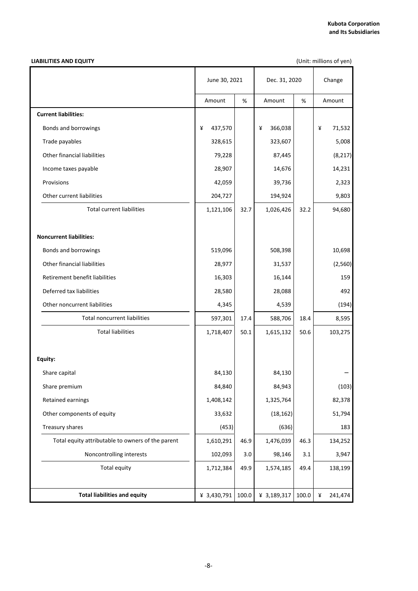### **LIABILITIES AND EQUITY**

(Unit: millions of yen)

|                                                   | June 30, 2021 | Dec. 31, 2020 | Change       |       |              |  |
|---------------------------------------------------|---------------|---------------|--------------|-------|--------------|--|
|                                                   | Amount        | %             | Amount       | %     | Amount       |  |
| <b>Current liabilities:</b>                       |               |               |              |       |              |  |
| Bonds and borrowings                              | 437,570<br>¥  |               | 366,038<br>¥ |       | 71,532<br>¥  |  |
| Trade payables                                    | 328,615       |               | 323,607      |       | 5,008        |  |
| Other financial liabilities                       | 79,228        |               | 87,445       |       | (8, 217)     |  |
| Income taxes payable                              | 28,907        |               | 14,676       |       | 14,231       |  |
| Provisions                                        | 42,059        |               | 39,736       |       | 2,323        |  |
| Other current liabilities                         | 204,727       |               | 194,924      |       | 9,803        |  |
| <b>Total current liabilities</b>                  | 1,121,106     | 32.7          | 1,026,426    | 32.2  | 94,680       |  |
| <b>Noncurrent liabilities:</b>                    |               |               |              |       |              |  |
| Bonds and borrowings                              | 519,096       |               | 508,398      |       | 10,698       |  |
| Other financial liabilities                       | 28,977        |               | 31,537       |       | (2,560)      |  |
| Retirement benefit liabilities                    | 16,303        |               | 16,144       |       | 159          |  |
| Deferred tax liabilities                          | 28,580        |               | 28,088       |       | 492          |  |
| Other noncurrent liabilities                      | 4,345         |               | 4,539        |       | (194)        |  |
| <b>Total noncurrent liabilities</b>               | 597,301       | 17.4          | 588,706      | 18.4  | 8,595        |  |
| <b>Total liabilities</b>                          | 1,718,407     | 50.1          | 1,615,132    | 50.6  | 103,275      |  |
| Equity:                                           |               |               |              |       |              |  |
| Share capital                                     | 84,130        |               | 84,130       |       |              |  |
| Share premium                                     | 84,840        |               | 84,943       |       | (103)        |  |
| Retained earnings                                 | 1,408,142     |               | 1,325,764    |       | 82,378       |  |
| Other components of equity                        | 33,632        |               | (18, 162)    |       | 51,794       |  |
| Treasury shares                                   | (453)         |               | (636)        |       | 183          |  |
| Total equity attributable to owners of the parent | 1,610,291     | 46.9          | 1,476,039    | 46.3  | 134,252      |  |
| Noncontrolling interests                          | 102,093       | 3.0           | 98,146       | 3.1   | 3,947        |  |
| <b>Total equity</b>                               | 1,712,384     | 49.9          | 1,574,185    | 49.4  | 138,199      |  |
| <b>Total liabilities and equity</b>               | ¥ 3,430,791   | 100.0         | ¥ 3,189,317  | 100.0 | ¥<br>241,474 |  |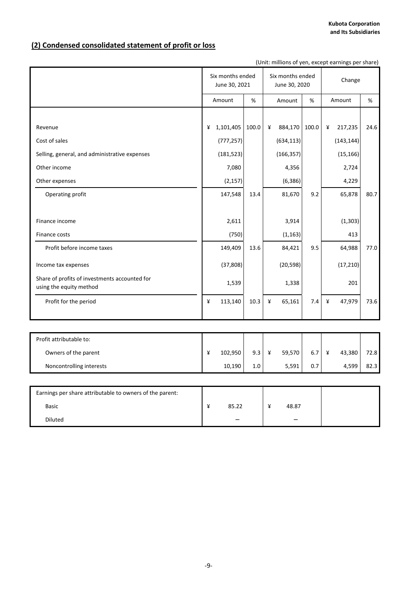# **(2) Condensed consolidated statement of profit or loss**

| (Unit: millions of yen, except earnings per share)                       |   |                                   |       |   |                                   |       |   |            |      |  |  |  |
|--------------------------------------------------------------------------|---|-----------------------------------|-------|---|-----------------------------------|-------|---|------------|------|--|--|--|
|                                                                          |   | Six months ended<br>June 30, 2021 |       |   | Six months ended<br>June 30, 2020 |       |   | Change     |      |  |  |  |
|                                                                          |   | Amount                            | $\%$  |   | Amount                            | %     |   | Amount     | %    |  |  |  |
|                                                                          |   |                                   |       |   |                                   |       |   |            |      |  |  |  |
| Revenue                                                                  | ¥ | 1,101,405                         | 100.0 | ¥ | 884,170                           | 100.0 | ¥ | 217,235    | 24.6 |  |  |  |
| Cost of sales                                                            |   | (777, 257)                        |       |   | (634, 113)                        |       |   | (143, 144) |      |  |  |  |
| Selling, general, and administrative expenses                            |   | (181, 523)                        |       |   | (166, 357)                        |       |   | (15, 166)  |      |  |  |  |
| Other income                                                             |   | 7,080                             |       |   | 4,356                             |       |   | 2,724      |      |  |  |  |
| Other expenses                                                           |   | (2, 157)                          |       |   | (6, 386)                          |       |   | 4,229      |      |  |  |  |
| Operating profit                                                         |   | 147,548                           | 13.4  |   | 81,670                            | 9.2   |   | 65,878     | 80.7 |  |  |  |
|                                                                          |   |                                   |       |   |                                   |       |   |            |      |  |  |  |
| Finance income                                                           |   | 2,611                             |       |   | 3,914                             |       |   | (1, 303)   |      |  |  |  |
| Finance costs                                                            |   | (750)                             |       |   | (1, 163)                          |       |   | 413        |      |  |  |  |
| Profit before income taxes                                               |   | 149,409                           | 13.6  |   | 84,421                            | 9.5   |   | 64,988     | 77.0 |  |  |  |
| Income tax expenses                                                      |   | (37, 808)                         |       |   | (20, 598)                         |       |   | (17, 210)  |      |  |  |  |
| Share of profits of investments accounted for<br>using the equity method |   | 1,539                             |       |   | 1,338                             |       |   | 201        |      |  |  |  |
| Profit for the period                                                    | ¥ | 113,140                           | 10.3  | ¥ | 65,161                            | 7.4   | ¥ | 47,979     | 73.6 |  |  |  |
|                                                                          |   |                                   |       |   |                                   |       |   |            |      |  |  |  |
|                                                                          |   |                                   |       |   |                                   |       |   |            |      |  |  |  |
| Profit attributable to:                                                  |   |                                   |       |   |                                   |       |   |            |      |  |  |  |
| Owners of the parent                                                     | ¥ | 102,950                           | 9.3   | ¥ | 59,570                            | 6.7   | ¥ | 43,380     | 72.8 |  |  |  |
| Noncontrolling interests                                                 |   | 10,190                            | 1.0   |   | 5,591                             | 0.7   |   | 4,599      | 82.3 |  |  |  |
|                                                                          |   |                                   |       |   |                                   |       |   |            |      |  |  |  |
| Earnings per share attributable to owners of the parent:                 |   |                                   |       |   |                                   |       |   |            |      |  |  |  |
| <b>Basic</b>                                                             | ¥ | 85.22                             |       | ¥ | 48.87                             |       |   |            |      |  |  |  |
| Diluted                                                                  |   |                                   |       |   |                                   |       |   |            |      |  |  |  |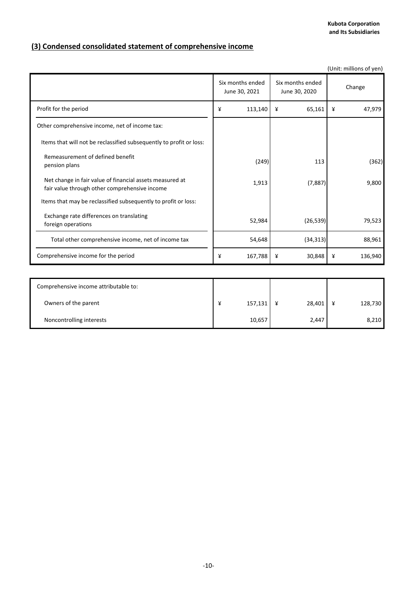**Kubota Corporation and Its Subsidiaries**

# **(3) Condensed consolidated statement of comprehensive income**

|                                                                                                           |                                   |                                   |             |        | (Unit: millions of yen) |
|-----------------------------------------------------------------------------------------------------------|-----------------------------------|-----------------------------------|-------------|--------|-------------------------|
|                                                                                                           | Six months ended<br>June 30, 2021 | Six months ended<br>June 30, 2020 |             | Change |                         |
| Profit for the period                                                                                     | ¥                                 | 113,140                           | 65,161<br>¥ | ¥      | 47,979                  |
| Other comprehensive income, net of income tax:                                                            |                                   |                                   |             |        |                         |
| Items that will not be reclassified subsequently to profit or loss:                                       |                                   |                                   |             |        |                         |
| Remeasurement of defined benefit<br>pension plans                                                         |                                   | (249)                             | 113         |        | (362)                   |
| Net change in fair value of financial assets measured at<br>fair value through other comprehensive income |                                   | 1,913                             | (7,887)     |        | 9,800                   |
| Items that may be reclassified subsequently to profit or loss:                                            |                                   |                                   |             |        |                         |
| Exchange rate differences on translating<br>foreign operations                                            |                                   | 52,984                            | (26, 539)   |        | 79,523                  |
| Total other comprehensive income, net of income tax                                                       |                                   | 54,648                            | (34, 313)   |        | 88,961                  |
| Comprehensive income for the period                                                                       | ¥                                 | 167,788                           | 30,848<br>¥ | ¥      | 136,940                 |
|                                                                                                           |                                   |                                   |             |        |                         |
| Comprehensive income attributable to:                                                                     |                                   |                                   |             |        |                         |
| Owners of the parent                                                                                      | ¥                                 | 157,131                           | 28,401<br>¥ | ¥      | 128,730                 |
| Noncontrolling interests                                                                                  |                                   | 10,657                            | 2,447       |        | 8,210                   |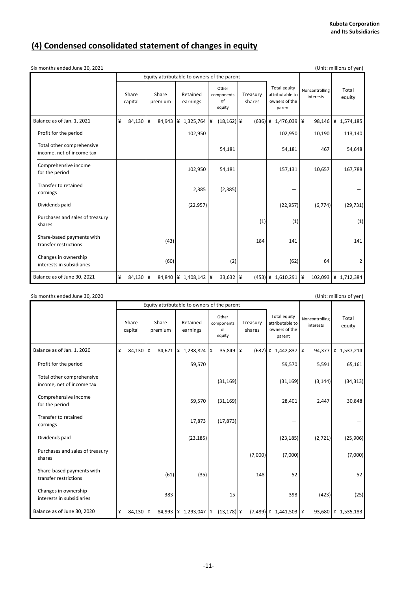# **(4) Condensed consolidated statement of changes in equity**

| (Unit: millions of yen)<br>Six months ended June 30, 2021 |   |                      |   |                  |                                             |  |                                     |  |                    |  |                                                                   |          |                             |                     |
|-----------------------------------------------------------|---|----------------------|---|------------------|---------------------------------------------|--|-------------------------------------|--|--------------------|--|-------------------------------------------------------------------|----------|-----------------------------|---------------------|
|                                                           |   |                      |   |                  | Equity attributable to owners of the parent |  |                                     |  |                    |  |                                                                   |          |                             |                     |
|                                                           |   | Share<br>capital     |   | Share<br>premium | Retained<br>earnings                        |  | Other<br>components<br>of<br>equity |  | Treasury<br>shares |  | <b>Total equity</b><br>attributable to<br>owners of the<br>parent |          | Noncontrolling<br>interests | Total<br>equity     |
| Balance as of Jan. 1, 2021                                | ¥ | 84,130               | ¥ | 84,943           | ¥ 1,325,764 ¥                               |  | $(18, 162)$ ¥                       |  |                    |  | (636) ¥ 1,476,039                                                 | $\angle$ | 98,146                      | ¥ 1,574,185         |
| Profit for the period                                     |   |                      |   |                  | 102,950                                     |  |                                     |  |                    |  | 102,950                                                           |          | 10,190                      | 113,140             |
| Total other comprehensive<br>income, net of income tax    |   |                      |   |                  |                                             |  | 54,181                              |  |                    |  | 54,181                                                            |          | 467                         | 54,648              |
| Comprehensive income<br>for the period                    |   |                      |   |                  | 102,950                                     |  | 54,181                              |  |                    |  | 157,131                                                           |          | 10,657                      | 167,788             |
| Transfer to retained<br>earnings                          |   |                      |   |                  | 2,385                                       |  | (2, 385)                            |  |                    |  |                                                                   |          |                             |                     |
| Dividends paid                                            |   |                      |   |                  | (22, 957)                                   |  |                                     |  |                    |  | (22, 957)                                                         |          | (6, 774)                    | (29, 731)           |
| Purchases and sales of treasury<br>shares                 |   |                      |   |                  |                                             |  |                                     |  | (1)                |  | (1)                                                               |          |                             | (1)                 |
| Share-based payments with<br>transfer restrictions        |   |                      |   | (43)             |                                             |  |                                     |  | 184                |  | 141                                                               |          |                             | 141                 |
| Changes in ownership<br>interests in subsidiaries         |   |                      |   | (60)             |                                             |  | (2)                                 |  |                    |  | (62)                                                              |          | 64                          | $\overline{2}$      |
| Balance as of June 30, 2021                               | ¥ | 84,130 $\frac{1}{4}$ |   |                  | 84,840 \\ 1,408,142 \\ \                    |  |                                     |  |                    |  | $(453)$ ¥ 1,610,291 ¥                                             |          |                             | 102,093 ¥ 1,712,384 |

| Six months ended June 30, 2020                         |          |                  |                                                                                                       |                                             |             |           |   |                                                            |          |                             |                         |     |          | (Unit: millions of yen) |
|--------------------------------------------------------|----------|------------------|-------------------------------------------------------------------------------------------------------|---------------------------------------------|-------------|-----------|---|------------------------------------------------------------|----------|-----------------------------|-------------------------|-----|----------|-------------------------|
|                                                        |          |                  |                                                                                                       | Equity attributable to owners of the parent |             |           |   |                                                            |          |                             |                         |     |          |                         |
|                                                        |          | Share<br>capital | Other<br>Share<br>Retained<br>Treasury<br>components<br>of<br>shares<br>premium<br>earnings<br>equity |                                             |             |           |   | Total equity<br>attributable to<br>owners of the<br>parent |          | Noncontrolling<br>interests | Total<br>equity         |     |          |                         |
| Balance as of Jan. 1, 2020                             | ¥        | 84,130           | ¥                                                                                                     | 84,671                                      | ¥ 1,238,824 |           | ¥ | 35,849                                                     | $\angle$ |                             | $(637)$ ¥ 1,442,837     | l ¥ | 94,377   | 4 1,537,214             |
| Profit for the period                                  |          |                  |                                                                                                       |                                             |             | 59,570    |   |                                                            |          |                             | 59,570                  |     | 5,591    | 65,161                  |
| Total other comprehensive<br>income, net of income tax |          |                  |                                                                                                       |                                             |             |           |   | (31, 169)                                                  |          |                             | (31, 169)               |     | (3, 144) | (34, 313)               |
| Comprehensive income<br>for the period                 |          |                  |                                                                                                       |                                             |             | 59,570    |   | (31, 169)                                                  |          |                             | 28,401                  |     | 2,447    | 30,848                  |
| Transfer to retained<br>earnings                       |          |                  |                                                                                                       |                                             |             | 17,873    |   | (17, 873)                                                  |          |                             |                         |     |          |                         |
| Dividends paid                                         |          |                  |                                                                                                       |                                             |             | (23, 185) |   |                                                            |          |                             | (23, 185)               |     | (2,721)  | (25,906)                |
| Purchases and sales of treasury<br>shares              |          |                  |                                                                                                       |                                             |             |           |   |                                                            |          | (7,000)                     | (7,000)                 |     |          | (7,000)                 |
| Share-based payments with<br>transfer restrictions     |          |                  |                                                                                                       | (61)                                        |             | (35)      |   |                                                            |          | 148                         | 52                      |     |          | 52                      |
| Changes in ownership<br>interests in subsidiaries      |          |                  |                                                                                                       | 383                                         |             |           |   | 15                                                         |          |                             | 398                     |     | (423)    | (25)                    |
| Balance as of June 30, 2020                            | $\angle$ | 84,130 ¥         |                                                                                                       | 84,993 \\ 1,293,047 \\ \ \                  |             |           |   | $(13, 178)$ \\ \in \;                                      |          |                             | $(7,489)$ ¥ 1,441,503 ¥ |     |          | 93,680 ¥ 1,535,183      |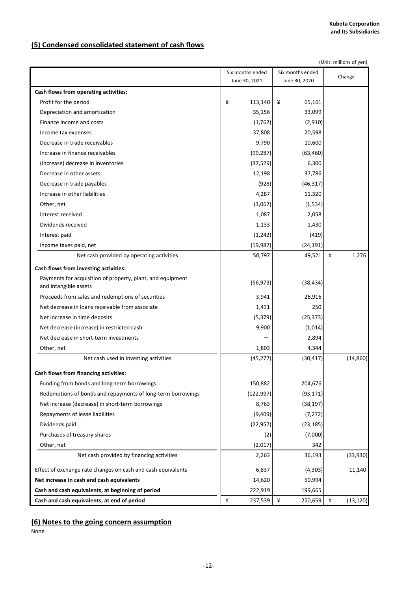# **(5) Condensed consolidated statement of cash flows**

|                                                              | (Unit: millions of yen) |                   |                |  |  |  |  |  |
|--------------------------------------------------------------|-------------------------|-------------------|----------------|--|--|--|--|--|
|                                                              | Six months ended        | Change            |                |  |  |  |  |  |
|                                                              | June 30, 2021           | June 30, 2020     |                |  |  |  |  |  |
| Cash flows from operating activities:                        |                         |                   |                |  |  |  |  |  |
| Profit for the period                                        | ¥<br>113,140            | ¥<br>65,161       |                |  |  |  |  |  |
| Depreciation and amortization                                | 35,156                  | 33,099            |                |  |  |  |  |  |
| Finance income and costs                                     | (1,762)                 | (2,910)           |                |  |  |  |  |  |
| Income tax expenses                                          | 37,808                  | 20,598            |                |  |  |  |  |  |
| Decrease in trade receivables                                | 9,790                   | 10,600            |                |  |  |  |  |  |
| Increase in finance receivables                              | (99, 287)               | (63, 460)         |                |  |  |  |  |  |
| (Increase) decrease in inventories                           | (37, 529)               | 6,300             |                |  |  |  |  |  |
| Decrease in other assets                                     | 12,198                  | 37,786            |                |  |  |  |  |  |
| Decrease in trade payables                                   | (928)                   | (46, 317)         |                |  |  |  |  |  |
| Increase in other liabilities                                | 4,287                   | 11,320            |                |  |  |  |  |  |
| Other, net                                                   | (3,067)                 | (1,534)           |                |  |  |  |  |  |
| Interest received                                            | 1,087                   | 2,058             |                |  |  |  |  |  |
| Dividends received                                           | 1,133                   | 1,430             |                |  |  |  |  |  |
| Interest paid                                                | (1, 242)                | (419)             |                |  |  |  |  |  |
| Income taxes paid, net                                       | (19, 987)               | (24, 191)         |                |  |  |  |  |  |
| Net cash provided by operating activities                    | 50,797                  | 49,521            | ¥<br>1,276     |  |  |  |  |  |
| Cash flows from investing activities:                        |                         |                   |                |  |  |  |  |  |
| Payments for acquisition of property, plant, and equipment   |                         |                   |                |  |  |  |  |  |
| and intangible assets                                        | (56, 973)               | (38, 434)         |                |  |  |  |  |  |
| Proceeds from sales and redemptions of securities            | 3,941                   | 26,916            |                |  |  |  |  |  |
| Net decrease in loans receivable from associate              | 1,431                   | 250               |                |  |  |  |  |  |
| Net increase in time deposits                                | (5, 379)                | (25, 373)         |                |  |  |  |  |  |
| Net decrease (increase) in restricted cash                   | 9,900                   | (1,014)           |                |  |  |  |  |  |
| Net decrease in short-term investments                       |                         | 2,894             |                |  |  |  |  |  |
| Other, net                                                   | 1,803                   | 4,344             |                |  |  |  |  |  |
| Net cash used in investing activities                        | (45, 277)               | (30, 417)         | (14, 860)      |  |  |  |  |  |
| Cash flows from financing activities:                        |                         |                   |                |  |  |  |  |  |
| Funding from bonds and long-term borrowings                  | 150,882                 | 204,676           |                |  |  |  |  |  |
| Redemptions of bonds and repayments of long-term borrowings  | (122, 997)              | (93, 171)         |                |  |  |  |  |  |
| Net increase (decrease) in short-term borrowings             | 8,763                   | (38, 197)         |                |  |  |  |  |  |
| Repayments of lease liabilities                              | (9,409)                 | (7, 272)          |                |  |  |  |  |  |
| Dividends paid                                               | (22, 957)               | (23, 185)         |                |  |  |  |  |  |
| Purchases of treasury shares                                 | (2)                     | (7,000)           |                |  |  |  |  |  |
| Other, net                                                   | (2,017)                 | 342               |                |  |  |  |  |  |
| Net cash provided by financing activities                    | 2,263                   | 36,193            | (33,930)       |  |  |  |  |  |
|                                                              |                         |                   |                |  |  |  |  |  |
| Effect of exchange rate changes on cash and cash equivalents | 6,837<br>14,620         | (4,303)<br>50,994 | 11,140         |  |  |  |  |  |
| Net increase in cash and cash equivalents                    |                         |                   |                |  |  |  |  |  |
| Cash and cash equivalents, at beginning of period            | 222,919                 | 199,665           |                |  |  |  |  |  |
| Cash and cash equivalents, at end of period                  | ¥<br>237,539            | ¥<br>250,659      | ¥<br>(13, 120) |  |  |  |  |  |

# **(6) Notes to the going concern assumption**

None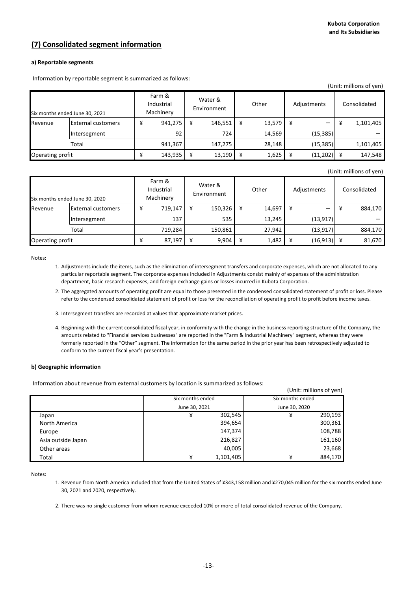## **(7) Consolidated segment information**

### **a) Reportable segments**

Information by reportable segment is summarized as follows:

|                                |                           |   |                                   |                        |         |       |        |             |           |   | (Unit: millions of yen) |
|--------------------------------|---------------------------|---|-----------------------------------|------------------------|---------|-------|--------|-------------|-----------|---|-------------------------|
| Six months ended June 30, 2021 |                           |   | Farm &<br>Industrial<br>Machinery | Water &<br>Environment |         | Other |        | Adjustments |           |   | Consolidated            |
| Revenue                        | <b>External customers</b> | ¥ | 941,275                           | ¥                      | 146,551 | ¥     | 13,579 | ¥           |           | ¥ | 1,101,405               |
|                                | Intersegment              |   | 92                                |                        | 724     |       | 14,569 |             | (15, 385) |   |                         |
|                                | Total                     |   | 941,367                           |                        | 147,275 |       | 28.148 |             | (15, 385) |   | 1,101,405               |
| Operating profit               |                           | ¥ | 143,935                           | ¥                      | 13,190  | ¥     | 1,625  |             | (11, 202) | ¥ | 147,548                 |

#### (Unit: millions of yen)

(Unit: millions of yen)

| Six months ended June 30, 2020 |                           | Farm &<br>Industrial<br>Machinery |         | Water &<br>Environment |         | Other |        | Adjustments |           | Consolidated |         |
|--------------------------------|---------------------------|-----------------------------------|---------|------------------------|---------|-------|--------|-------------|-----------|--------------|---------|
| Revenue                        | <b>External customers</b> | ¥                                 | 719,147 | ¥                      | 150,326 | ¥     | 14,697 |             |           | ¥            | 884,170 |
|                                | Intersegment              |                                   | 137     |                        | 535     |       | 13,245 |             | (13, 917) |              |         |
|                                | Total                     |                                   | 719,284 |                        | 150,861 |       | 27,942 |             | (13, 917) |              | 884,170 |
| Operating profit               |                           |                                   | 87,197  | ¥                      | 9.904   | ¥     | 1,482  |             | (16, 913) | ¥            | 81,670  |

Notes:

- 1. Adjustments include the items, such as the elimination of intersegment transfers and corporate expenses, which are not allocated to any particular reportable segment. The corporate expenses included in Adjustments consist mainly of expenses of the administration department, basic research expenses, and foreign exchange gains or losses incurred in Kubota Corporation.
- 2. The aggregated amounts of operating profit are equal to those presented in the condensed consolidated statement of profit or loss. Please refer to the condensed consolidated statement of profit or loss for the reconciliation of operating profit to profit before income taxes.
- 3. Intersegment transfers are recorded at values that approximate market prices.
- 4. Beginning with the current consolidated fiscal year, in conformity with the change in the business reporting structure of the Company, the amounts related to "Financial services businesses" are reported in the "Farm & Industrial Machinery" segment, whereas they were formerly reported in the "Other" segment. The information for the same period in the prior year has been retrospectively adjusted to conform to the current fiscal year's presentation.

### **b) Geographic information**

Information about revenue from external customers by location is summarized as follows:

|                    |                  |           |                  | , עוויס ערווווווטווס (ערווו |
|--------------------|------------------|-----------|------------------|-----------------------------|
|                    | Six months ended |           | Six months ended |                             |
|                    | June 30, 2021    |           | June 30, 2020    |                             |
| Japan              | ¥                | 302,545   | ¥                | 290,193                     |
| North America      |                  | 394,654   |                  | 300,361                     |
| Europe             |                  | 147,374   |                  | 108,788                     |
| Asia outside Japan |                  | 216,827   |                  | 161,160                     |
| Other areas        |                  | 40,005    |                  | 23,668                      |
| Total              | ¥                | 1,101,405 | ¥                | 884,170                     |

Notes:

- 1. Revenue from North America included that from the United States of ¥343,158 million and ¥270,045 million for the six months ended June 30, 2021 and 2020, respectively.
- 2. There was no single customer from whom revenue exceeded 10% or more of total consolidated revenue of the Company.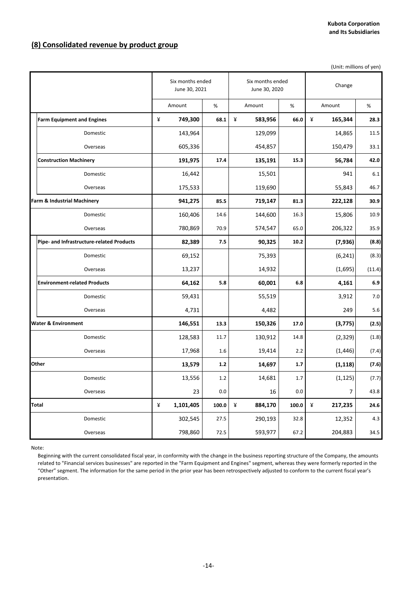# **(8) Consolidated revenue by product group**

(Unit: millions of yen)

|                                           | Six months ended<br>June 30, 2021 |       |   | Six months ended<br>June 30, 2020 |       | Change       |        |
|-------------------------------------------|-----------------------------------|-------|---|-----------------------------------|-------|--------------|--------|
|                                           | Amount                            | %     |   | Amount                            | %     | Amount       | %      |
| <b>Farm Equipment and Engines</b>         | ¥<br>749,300                      | 68.1  | ¥ | 583,956                           | 66.0  | ¥<br>165,344 | 28.3   |
| Domestic                                  | 143,964                           |       |   | 129,099                           |       | 14,865       | 11.5   |
| Overseas                                  | 605,336                           |       |   | 454,857                           |       | 150,479      | 33.1   |
| <b>Construction Machinery</b>             | 191,975                           | 17.4  |   | 135,191                           | 15.3  | 56,784       | 42.0   |
| Domestic                                  | 16,442                            |       |   | 15,501                            |       | 941          | 6.1    |
| Overseas                                  | 175,533                           |       |   | 119,690                           |       | 55,843       | 46.7   |
| Farm & Industrial Machinery               | 941,275                           | 85.5  |   | 719,147                           | 81.3  | 222,128      | 30.9   |
| Domestic                                  | 160,406                           | 14.6  |   | 144,600                           | 16.3  | 15,806       | 10.9   |
| Overseas                                  | 780,869                           | 70.9  |   | 574,547                           | 65.0  | 206,322      | 35.9   |
| Pipe- and Infrastructure-related Products | 82,389                            | 7.5   |   | 90,325                            | 10.2  | (7,936)      | (8.8)  |
| Domestic                                  | 69,152                            |       |   | 75,393                            |       | (6, 241)     | (8.3)  |
| Overseas                                  | 13,237                            |       |   | 14,932                            |       | (1,695)      | (11.4) |
| <b>Environment-related Products</b>       | 64,162                            | 5.8   |   | 60,001                            | 6.8   | 4,161        | 6.9    |
| Domestic                                  | 59,431                            |       |   | 55,519                            |       | 3,912        | 7.0    |
| Overseas                                  | 4,731                             |       |   | 4,482                             |       | 249          | 5.6    |
| Water & Environment                       | 146,551                           | 13.3  |   | 150,326                           | 17.0  | (3, 775)     | (2.5)  |
| Domestic                                  | 128,583                           | 11.7  |   | 130,912                           | 14.8  | (2,329)      | (1.8)  |
| Overseas                                  | 17,968                            | 1.6   |   | 19,414                            | 2.2   | (1, 446)     | (7.4)  |
| Other                                     | 13,579                            | 1.2   |   | 14,697                            | 1.7   | (1, 118)     | (7.6)  |
| Domestic                                  | 13,556                            | 1.2   |   | 14,681                            | 1.7   | (1, 125)     | (7.7)  |
| Overseas                                  | 23                                | 0.0   |   | 16                                | 0.0   | 7            | 43.8   |
| Total                                     | ¥<br>1,101,405                    | 100.0 | ¥ | 884,170                           | 100.0 | ¥<br>217,235 | 24.6   |
| Domestic                                  | 302,545                           | 27.5  |   | 290,193                           | 32.8  | 12,352       | 4.3    |
| Overseas                                  | 798,860                           | 72.5  |   | 593,977                           | 67.2  | 204,883      | 34.5   |

Note:

Beginning with the current consolidated fiscal year, in conformity with the change in the business reporting structure of the Company, the amounts related to "Financial services businesses" are reported in the "Farm Equipment and Engines" segment, whereas they were formerly reported in the "Other" segment. The information for the same period in the prior year has been retrospectively adjusted to conform to the current fiscal year's presentation.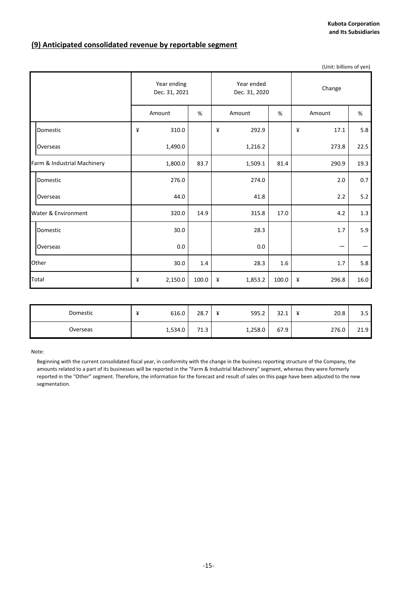# **(9) Anticipated consolidated revenue by reportable segment**

|                             |                              |         |       |             |                             |       |   | (Unit: billions of yen) |       |  |  |
|-----------------------------|------------------------------|---------|-------|-------------|-----------------------------|-------|---|-------------------------|-------|--|--|
|                             | Year ending<br>Dec. 31, 2021 |         |       |             | Year ended<br>Dec. 31, 2020 |       |   | Change                  |       |  |  |
|                             |                              | Amount  | $\%$  | Amount<br>% |                             |       |   | Amount                  | $\%$  |  |  |
| Domestic                    | ¥                            | 310.0   |       | ¥           | 292.9                       |       | ¥ | 17.1                    | 5.8   |  |  |
| Overseas                    |                              | 1,490.0 |       |             | 1,216.2                     |       |   | 273.8                   | 22.5  |  |  |
| Farm & Industrial Machinery |                              | 1,800.0 | 83.7  |             | 1,509.1                     | 81.4  |   | 290.9                   | 19.3  |  |  |
| Domestic                    |                              | 276.0   |       |             | 274.0                       |       |   | 2.0                     | 0.7   |  |  |
| Overseas                    |                              | 44.0    |       |             | 41.8                        |       |   | 2.2                     | $5.2$ |  |  |
| Water & Environment         |                              | 320.0   | 14.9  |             | 315.8                       | 17.0  |   | 4.2                     | 1.3   |  |  |
| Domestic                    |                              | 30.0    |       |             | 28.3                        |       |   | 1.7                     | 5.9   |  |  |
| Overseas                    |                              | 0.0     |       |             | 0.0                         |       |   |                         |       |  |  |
| Other                       |                              | 30.0    | 1.4   |             | 28.3                        | 1.6   |   | $1.7\,$                 | 5.8   |  |  |
| Total                       | ¥                            | 2,150.0 | 100.0 | ¥           | 1,853.2                     | 100.0 | ¥ | 296.8                   | 16.0  |  |  |

| Domestic | 616.0   | 28.7 | 595.2<br>$\mathbf{v}$ | 221<br>ـ ـ ـ ب | 20.8  | n F<br>ر.ر |
|----------|---------|------|-----------------------|----------------|-------|------------|
| Overseas | 1,534.0 | 71.3 | 1,258.0               | 67.9           | 276.0 | 21.9       |

Note:

Beginning with the current consolidated fiscal year, in conformity with the change in the business reporting structure of the Company, the amounts related to a part of its businesses will be reported in the "Farm & Industrial Machinery" segment, whereas they were formerly reported in the "Other" segment. Therefore, the information for the forecast and result of sales on this page have been adjusted to the new segmentation.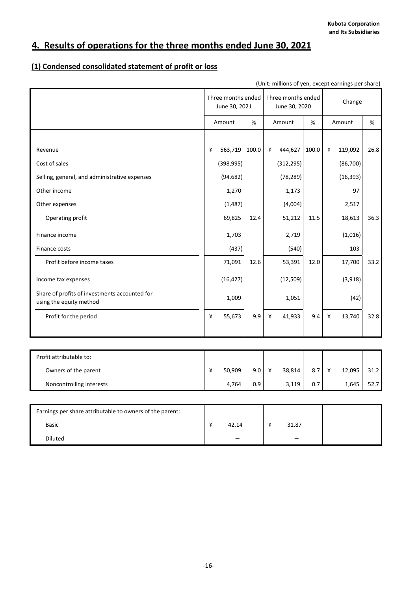# **4. Results of operations for the three months ended June 30, 2021**

# **(1) Condensed consolidated statement of profit or loss**

| (Unit: millions of yen, except earnings per share)                       |   |                                     |       |   |                                     |       |   |           |      |
|--------------------------------------------------------------------------|---|-------------------------------------|-------|---|-------------------------------------|-------|---|-----------|------|
|                                                                          |   | Three months ended<br>June 30, 2021 |       |   | Three months ended<br>June 30, 2020 |       |   | Change    |      |
|                                                                          |   | Amount                              | $\%$  |   | Amount                              | %     |   | Amount    | %    |
|                                                                          |   |                                     |       |   |                                     |       |   |           |      |
| Revenue                                                                  | ¥ | 563,719                             | 100.0 | ¥ | 444,627                             | 100.0 | ¥ | 119,092   | 26.8 |
| Cost of sales                                                            |   | (398, 995)                          |       |   | (312, 295)                          |       |   | (86, 700) |      |
| Selling, general, and administrative expenses                            |   | (94, 682)                           |       |   | (78, 289)                           |       |   | (16, 393) |      |
| Other income                                                             |   | 1,270                               |       |   | 1,173                               |       |   | 97        |      |
| Other expenses                                                           |   | (1, 487)                            |       |   | (4,004)                             |       |   | 2,517     |      |
| Operating profit                                                         |   | 69,825                              | 12.4  |   | 51,212                              | 11.5  |   | 18,613    | 36.3 |
| Finance income                                                           |   | 1,703                               |       |   | 2,719                               |       |   | (1,016)   |      |
| Finance costs                                                            |   | (437)                               |       |   | (540)                               |       |   | 103       |      |
| Profit before income taxes                                               |   | 71,091                              | 12.6  |   | 53,391                              | 12.0  |   | 17,700    | 33.2 |
| Income tax expenses                                                      |   | (16, 427)                           |       |   | (12, 509)                           |       |   | (3,918)   |      |
| Share of profits of investments accounted for<br>using the equity method |   | 1,009                               |       |   | 1,051                               |       |   | (42)      |      |
| Profit for the period                                                    | ¥ | 55,673                              | 9.9   | ¥ | 41,933                              | 9.4   | ¥ | 13,740    | 32.8 |
|                                                                          |   |                                     |       |   |                                     |       |   |           |      |
| Profit attributable to:                                                  |   |                                     |       |   |                                     |       |   |           |      |
| Owners of the parent                                                     | ¥ | 50,909                              | 9.0   | ¥ | 38,814                              | 8.7   | ¥ | 12,095    | 31.2 |
| Noncontrolling interests                                                 |   | 4,764                               | 0.9   |   | 3,119                               | 0.7   |   | 1,645     | 52.7 |
|                                                                          |   |                                     |       |   |                                     |       |   |           |      |
| Earnings per share attributable to owners of the parent:                 |   |                                     |       |   |                                     |       |   |           |      |
| <b>Basic</b>                                                             | ¥ | 42.14                               |       | ¥ | 31.87                               |       |   |           |      |

Diluted - -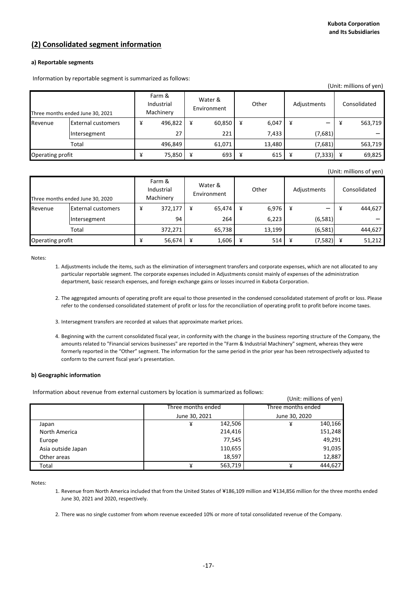## **(2) Consolidated segment information**

### **a) Reportable segments**

Information by reportable segment is summarized as follows:

|                                  |                           |   |                                   |                        |        |       |        |             |          |   | (Unit: millions of yen) |
|----------------------------------|---------------------------|---|-----------------------------------|------------------------|--------|-------|--------|-------------|----------|---|-------------------------|
| Three months ended June 30, 2021 |                           |   | Farm &<br>Industrial<br>Machinery | Water &<br>Environment |        | Other |        | Adjustments |          |   | Consolidated            |
| Revenue                          | <b>External customers</b> | ¥ | 496,822                           | ¥                      | 60,850 | ¥     | 6,047  | ¥           |          | ¥ | 563,719                 |
|                                  | Intersegment              |   | 27                                |                        | 221    |       | 7,433  |             | (7,681)  |   |                         |
|                                  | Total                     |   | 496,849                           |                        | 61,071 |       | 13.480 |             | (7,681)  |   | 563,719                 |
| Operating profit                 |                           | ¥ | 75,850                            | ¥                      | 693    | ¥     | 615    |             | (7, 333) | ¥ | 69,825                  |

(Unit: millions of yen)

|                  | Three months ended June 30, 2020 | Farm &<br>Industrial<br>Machinery |         | Water &<br>Environment |        | Other |        | Adjustments |          | Consolidated |         |
|------------------|----------------------------------|-----------------------------------|---------|------------------------|--------|-------|--------|-------------|----------|--------------|---------|
| Revenue          | <b>External customers</b>        | ¥                                 | 372,177 | ¥                      | 65,474 | ¥     | 6,976  |             |          | ¥            | 444,627 |
|                  | Intersegment                     |                                   | 94      |                        | 264    |       | 6,223  |             | (6, 581) |              |         |
|                  | Total                            |                                   | 372,271 |                        | 65,738 |       | 13,199 |             | (6, 581) |              | 444.627 |
| Operating profit |                                  |                                   | 56,674  | ¥                      | 1,606  | ¥     | 514    | ¥           | (7,582)  | ¥            | 51,212  |

Notes:

- 1. Adjustments include the items, such as the elimination of intersegment transfers and corporate expenses, which are not allocated to any particular reportable segment. The corporate expenses included in Adjustments consist mainly of expenses of the administration department, basic research expenses, and foreign exchange gains or losses incurred in Kubota Corporation.
- 2. The aggregated amounts of operating profit are equal to those presented in the condensed consolidated statement of profit or loss. Please refer to the condensed consolidated statement of profit or loss for the reconciliation of operating profit to profit before income taxes.
- 3. Intersegment transfers are recorded at values that approximate market prices.
- 4. Beginning with the current consolidated fiscal year, in conformity with the change in the business reporting structure of the Company, the amounts related to "Financial services businesses" are reported in the "Farm & Industrial Machinery" segment, whereas they were formerly reported in the "Other" segment. The information for the same period in the prior year has been retrospectively adjusted to conform to the current fiscal year's presentation.

### **b) Geographic information**

Information about revenue from external customers by location is summarized as follows:

|                    | miormation about revenue from external customers by location is summarized as follows. |                         |
|--------------------|----------------------------------------------------------------------------------------|-------------------------|
|                    |                                                                                        | (Unit: millions of yen) |
|                    | Three months ended                                                                     | Three months ended      |
|                    | June 30, 2021                                                                          | June 30, 2020           |
| Japan              | 142,506<br>¥                                                                           | 140,166<br>¥            |
| North America      | 214,416                                                                                | 151,248                 |
| Europe             | 77,545                                                                                 | 49,291                  |
| Asia outside Japan | 110,655                                                                                | 91,035                  |
| Other areas        | 18,597                                                                                 | 12,887                  |
| Total              | 563,719<br>¥                                                                           | 444,627<br>¥            |

Notes:

- 1. Revenue from North America included that from the United States of ¥186,109 million and ¥134,856 million for the three months ended June 30, 2021 and 2020, respectively.
- 2. There was no single customer from whom revenue exceeded 10% or more of total consolidated revenue of the Company.